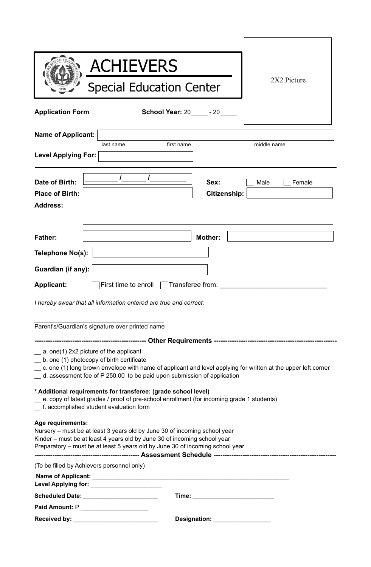|                                                             | <b>ACHIEVERS</b>                                                                                                                                                                                                                                                                             |                |
|-------------------------------------------------------------|----------------------------------------------------------------------------------------------------------------------------------------------------------------------------------------------------------------------------------------------------------------------------------------------|----------------|
|                                                             | <b>Special Education Center</b>                                                                                                                                                                                                                                                              | 2X2 Picture    |
| <b>Application Form</b>                                     | <b>School Year: 20 - 20</b>                                                                                                                                                                                                                                                                  |                |
| <b>Name of Applicant:</b><br><b>Level Applying For:</b>     | first name<br>last name                                                                                                                                                                                                                                                                      | middle name    |
| Date of Birth:<br><b>Place of Birth:</b><br><b>Address:</b> | Sex:<br><b>Citizenship:</b>                                                                                                                                                                                                                                                                  | Female<br>Male |
| <b>Father:</b>                                              | <b>Mother:</b>                                                                                                                                                                                                                                                                               |                |
| Telephone No(s):                                            |                                                                                                                                                                                                                                                                                              |                |
| Guardian (if any):                                          |                                                                                                                                                                                                                                                                                              |                |
| <b>Applicant:</b>                                           | First time to enroll<br>Transferee from:                                                                                                                                                                                                                                                     |                |
|                                                             | I hereby swear that all information entered are true and correct:                                                                                                                                                                                                                            |                |
|                                                             | Parent's/Guardian's signature over printed name                                                                                                                                                                                                                                              |                |
|                                                             |                                                                                                                                                                                                                                                                                              |                |
|                                                             | $\equiv$ a. one(1) 2x2 picture of the applicant<br>b. one (1) photocopy of birth certificate<br>_ c. one (1) long brown envelope with name of applicant and level applying for written at the upper left corner<br>_ d. assessment fee of P 250.00 to be paid upon submission of application |                |
|                                                             | * Additional requirements for transferee: (grade school level)<br>e. copy of latest grades / proof of pre-school enrollment (for incoming grade 1 students)<br>_f. accomplished student evaluation form                                                                                      |                |
| Age requirements:                                           | Nursery – must be at least 3 years old by June 30 of incoming school year<br>Kinder – must be at least 4 years old by June 30 of incoming school year<br>Preparatory – must be at least 5 years old by June 30 of incoming school year                                                       |                |
|                                                             | (To be filled by Achievers personnel only)                                                                                                                                                                                                                                                   |                |
|                                                             |                                                                                                                                                                                                                                                                                              |                |
|                                                             |                                                                                                                                                                                                                                                                                              |                |
|                                                             | Paid Amount: P______________________                                                                                                                                                                                                                                                         |                |
|                                                             | Designation: __________________                                                                                                                                                                                                                                                              |                |